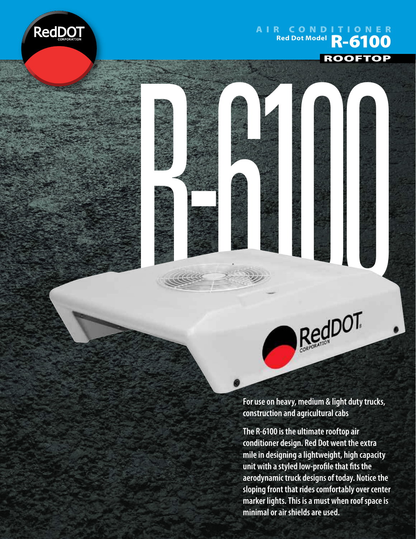

## AIR CONDITIONER **Red Dot Model**<br>Red Dot Model **R-6100**







**For use on heavy, medium & light duty trucks, construction and agricultural cabs**

**The R-6100 is the ultimate rooftop air conditioner design. Red Dot went the extra mile in designing a lightweight, high capacity**  unit with a styled low-profile that fits the **aerodynamic truck designs of today. Notice the sloping front that rides comfortably over center marker lights. This is a must when roof space is minimal or air shields are used.**